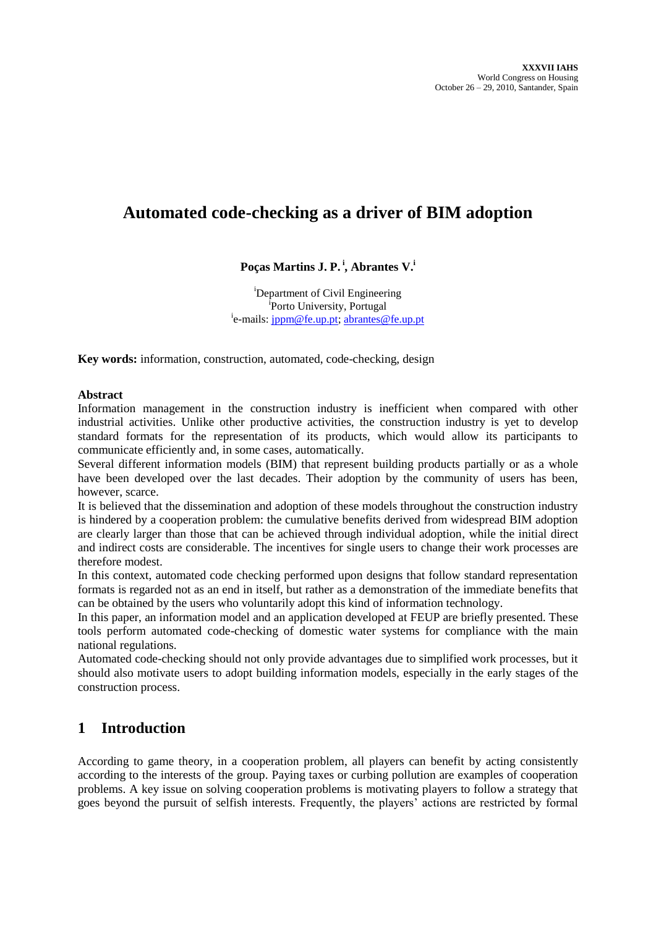# **Automated code-checking as a driver of BIM adoption**

### **Poças Martins J. P. <sup>i</sup> , Abrantes V.<sup>i</sup>**

<sup>i</sup>Department of Civil Engineering <sup>i</sup>Porto University, Portugal <sup>i</sup>e-mails: <u>jppm@fe.up.pt; [abrantes@fe.up.pt](mailto:abrantes@fe.up.pt)</u>

**Key words:** information, construction, automated, code-checking, design

#### **Abstract**

Information management in the construction industry is inefficient when compared with other industrial activities. Unlike other productive activities, the construction industry is yet to develop standard formats for the representation of its products, which would allow its participants to communicate efficiently and, in some cases, automatically.

Several different information models (BIM) that represent building products partially or as a whole have been developed over the last decades. Their adoption by the community of users has been, however, scarce.

It is believed that the dissemination and adoption of these models throughout the construction industry is hindered by a cooperation problem: the cumulative benefits derived from widespread BIM adoption are clearly larger than those that can be achieved through individual adoption, while the initial direct and indirect costs are considerable. The incentives for single users to change their work processes are therefore modest.

In this context, automated code checking performed upon designs that follow standard representation formats is regarded not as an end in itself, but rather as a demonstration of the immediate benefits that can be obtained by the users who voluntarily adopt this kind of information technology.

In this paper, an information model and an application developed at FEUP are briefly presented. These tools perform automated code-checking of domestic water systems for compliance with the main national regulations.

Automated code-checking should not only provide advantages due to simplified work processes, but it should also motivate users to adopt building information models, especially in the early stages of the construction process.

### **1 Introduction**

According to game theory, in a cooperation problem, all players can benefit by acting consistently according to the interests of the group. Paying taxes or curbing pollution are examples of cooperation problems. A key issue on solving cooperation problems is motivating players to follow a strategy that goes beyond the pursuit of selfish interests. Frequently, the players' actions are restricted by formal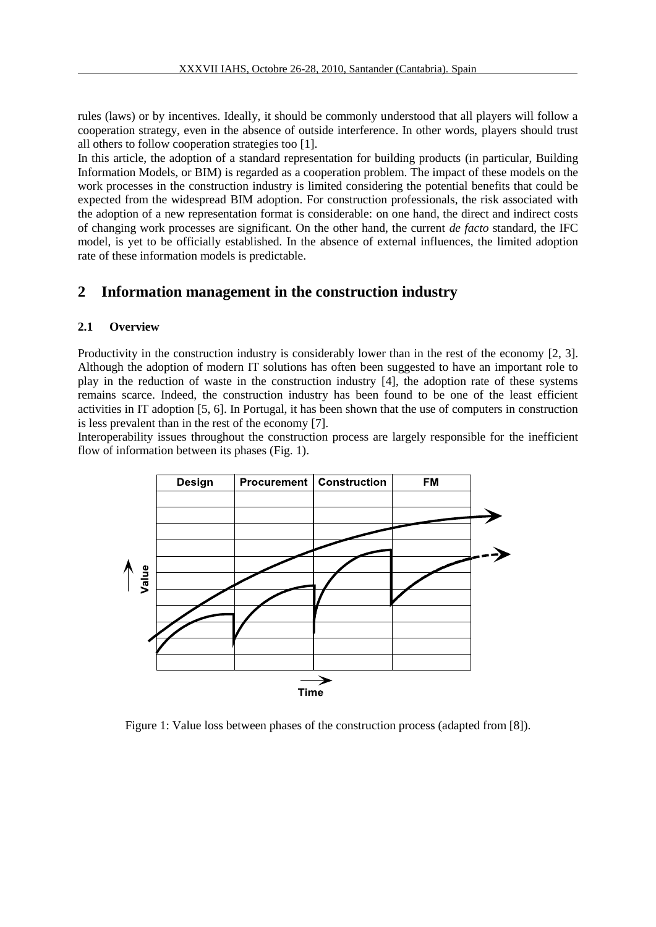rules (laws) or by incentives. Ideally, it should be commonly understood that all players will follow a cooperation strategy, even in the absence of outside interference. In other words, players should trust all others to follow cooperation strategies too [1].

In this article, the adoption of a standard representation for building products (in particular, Building Information Models, or BIM) is regarded as a cooperation problem. The impact of these models on the work processes in the construction industry is limited considering the potential benefits that could be expected from the widespread BIM adoption. For construction professionals, the risk associated with the adoption of a new representation format is considerable: on one hand, the direct and indirect costs of changing work processes are significant. On the other hand, the current *de facto* standard, the IFC model, is yet to be officially established. In the absence of external influences, the limited adoption rate of these information models is predictable.

### **2 Information management in the construction industry**

#### **2.1 Overview**

Productivity in the construction industry is considerably lower than in the rest of the economy [2, 3]. Although the adoption of modern IT solutions has often been suggested to have an important role to play in the reduction of waste in the construction industry [4], the adoption rate of these systems remains scarce. Indeed, the construction industry has been found to be one of the least efficient activities in IT adoption [5, 6]. In Portugal, it has been shown that the use of computers in construction is less prevalent than in the rest of the economy [7].

Interoperability issues throughout the construction process are largely responsible for the inefficient flow of information between its phases (Fig. 1).



Figure 1: Value loss between phases of the construction process (adapted from [8]).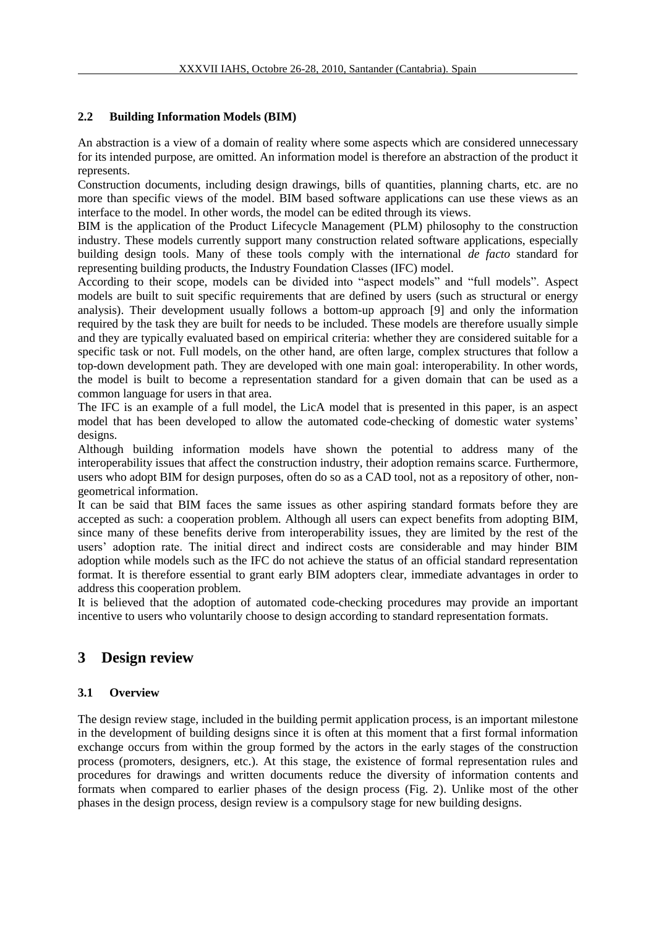### **2.2 Building Information Models (BIM)**

An abstraction is a view of a domain of reality where some aspects which are considered unnecessary for its intended purpose, are omitted. An information model is therefore an abstraction of the product it represents.

Construction documents, including design drawings, bills of quantities, planning charts, etc. are no more than specific views of the model. BIM based software applications can use these views as an interface to the model. In other words, the model can be edited through its views.

BIM is the application of the Product Lifecycle Management (PLM) philosophy to the construction industry. These models currently support many construction related software applications, especially building design tools. Many of these tools comply with the international *de facto* standard for representing building products, the Industry Foundation Classes (IFC) model.

According to their scope, models can be divided into "aspect models" and "full models". Aspect models are built to suit specific requirements that are defined by users (such as structural or energy analysis). Their development usually follows a bottom-up approach [9] and only the information required by the task they are built for needs to be included. These models are therefore usually simple and they are typically evaluated based on empirical criteria: whether they are considered suitable for a specific task or not. Full models, on the other hand, are often large, complex structures that follow a top-down development path. They are developed with one main goal: interoperability. In other words, the model is built to become a representation standard for a given domain that can be used as a common language for users in that area.

The IFC is an example of a full model, the LicA model that is presented in this paper, is an aspect model that has been developed to allow the automated code-checking of domestic water systems' designs.

Although building information models have shown the potential to address many of the interoperability issues that affect the construction industry, their adoption remains scarce. Furthermore, users who adopt BIM for design purposes, often do so as a CAD tool, not as a repository of other, nongeometrical information.

It can be said that BIM faces the same issues as other aspiring standard formats before they are accepted as such: a cooperation problem. Although all users can expect benefits from adopting BIM, since many of these benefits derive from interoperability issues, they are limited by the rest of the users' adoption rate. The initial direct and indirect costs are considerable and may hinder BIM adoption while models such as the IFC do not achieve the status of an official standard representation format. It is therefore essential to grant early BIM adopters clear, immediate advantages in order to address this cooperation problem.

It is believed that the adoption of automated code-checking procedures may provide an important incentive to users who voluntarily choose to design according to standard representation formats.

### **3 Design review**

### **3.1 Overview**

The design review stage, included in the building permit application process, is an important milestone in the development of building designs since it is often at this moment that a first formal information exchange occurs from within the group formed by the actors in the early stages of the construction process (promoters, designers, etc.). At this stage, the existence of formal representation rules and procedures for drawings and written documents reduce the diversity of information contents and formats when compared to earlier phases of the design process (Fig. 2). Unlike most of the other phases in the design process, design review is a compulsory stage for new building designs.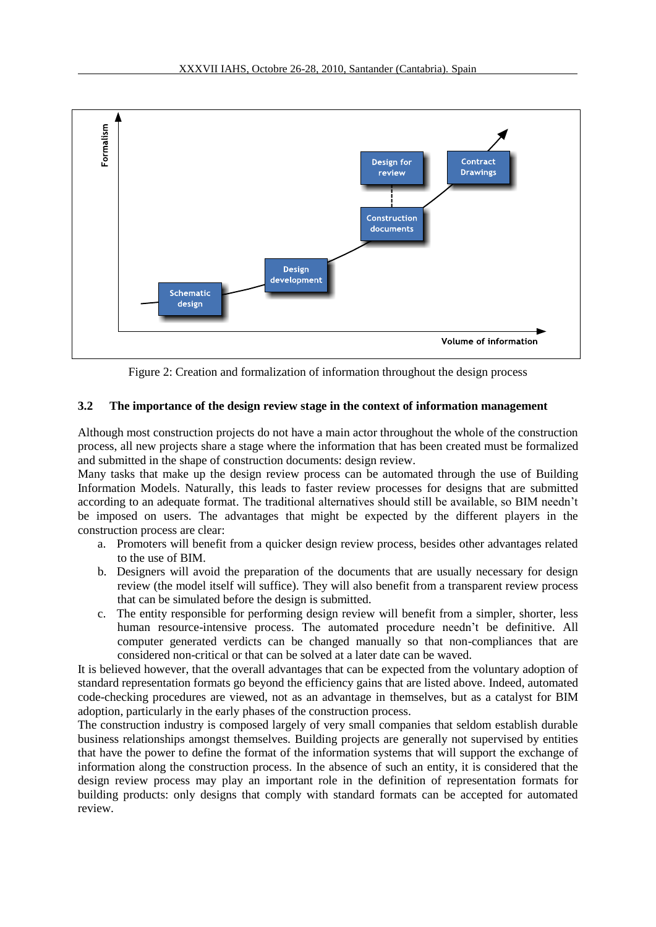

Figure 2: Creation and formalization of information throughout the design process

#### **3.2 The importance of the design review stage in the context of information management**

Although most construction projects do not have a main actor throughout the whole of the construction process, all new projects share a stage where the information that has been created must be formalized and submitted in the shape of construction documents: design review.

Many tasks that make up the design review process can be automated through the use of Building Information Models. Naturally, this leads to faster review processes for designs that are submitted according to an adequate format. The traditional alternatives should still be available, so BIM needn't be imposed on users. The advantages that might be expected by the different players in the construction process are clear:

- a. Promoters will benefit from a quicker design review process, besides other advantages related to the use of BIM.
- b. Designers will avoid the preparation of the documents that are usually necessary for design review (the model itself will suffice). They will also benefit from a transparent review process that can be simulated before the design is submitted.
- c. The entity responsible for performing design review will benefit from a simpler, shorter, less human resource-intensive process. The automated procedure needn't be definitive. All computer generated verdicts can be changed manually so that non-compliances that are considered non-critical or that can be solved at a later date can be waved.

It is believed however, that the overall advantages that can be expected from the voluntary adoption of standard representation formats go beyond the efficiency gains that are listed above. Indeed, automated code-checking procedures are viewed, not as an advantage in themselves, but as a catalyst for BIM adoption, particularly in the early phases of the construction process.

The construction industry is composed largely of very small companies that seldom establish durable business relationships amongst themselves. Building projects are generally not supervised by entities that have the power to define the format of the information systems that will support the exchange of information along the construction process. In the absence of such an entity, it is considered that the design review process may play an important role in the definition of representation formats for building products: only designs that comply with standard formats can be accepted for automated review.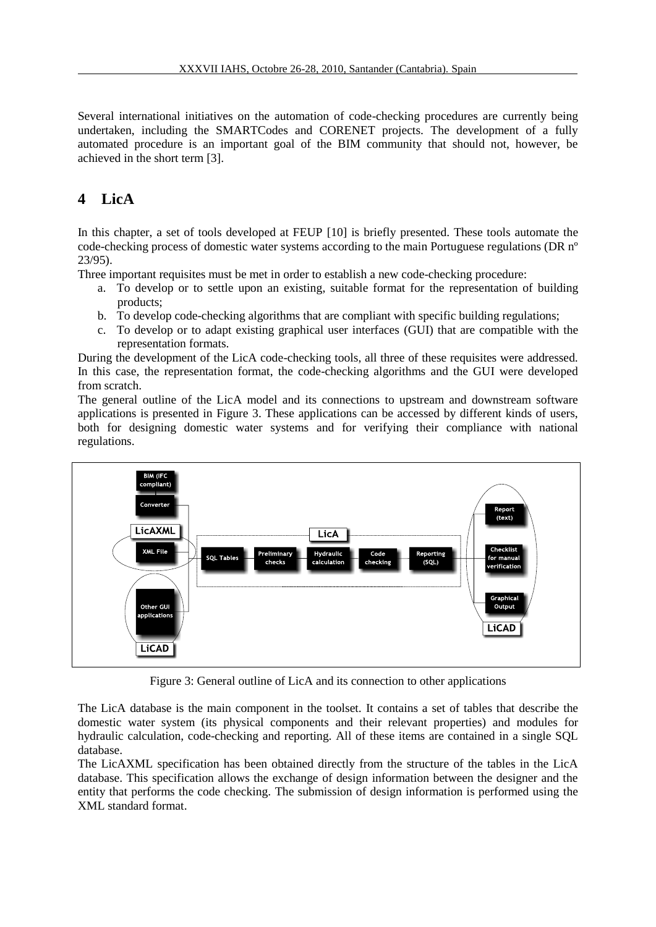Several international initiatives on the automation of code-checking procedures are currently being undertaken, including the SMARTCodes and CORENET projects. The development of a fully automated procedure is an important goal of the BIM community that should not, however, be achieved in the short term [3].

# **4 LicA**

In this chapter, a set of tools developed at FEUP [10] is briefly presented. These tools automate the code-checking process of domestic water systems according to the main Portuguese regulations (DR nº 23/95).

Three important requisites must be met in order to establish a new code-checking procedure:

- a. To develop or to settle upon an existing, suitable format for the representation of building products;
- b. To develop code-checking algorithms that are compliant with specific building regulations;
- c. To develop or to adapt existing graphical user interfaces (GUI) that are compatible with the representation formats.

During the development of the LicA code-checking tools, all three of these requisites were addressed. In this case, the representation format, the code-checking algorithms and the GUI were developed from scratch.

The general outline of the LicA model and its connections to upstream and downstream software applications is presented in [Figure 3.](#page-4-0) These applications can be accessed by different kinds of users, both for designing domestic water systems and for verifying their compliance with national regulations.



Figure 3: General outline of LicA and its connection to other applications

<span id="page-4-0"></span>The LicA database is the main component in the toolset. It contains a set of tables that describe the domestic water system (its physical components and their relevant properties) and modules for hydraulic calculation, code-checking and reporting. All of these items are contained in a single SQL database.

The LicAXML specification has been obtained directly from the structure of the tables in the LicA database. This specification allows the exchange of design information between the designer and the entity that performs the code checking. The submission of design information is performed using the XML standard format.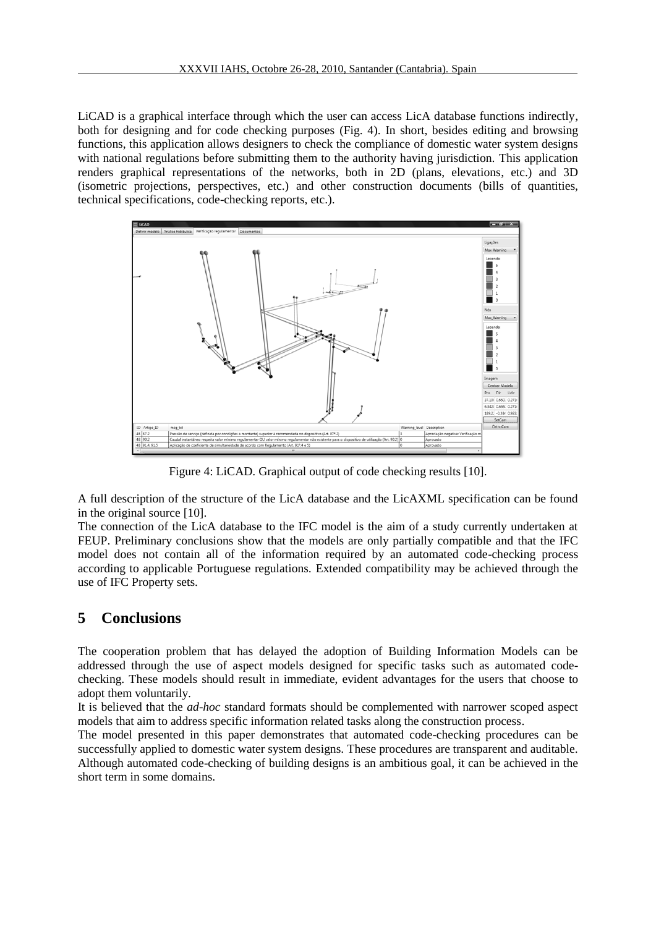LiCAD is a graphical interface through which the user can access LicA database functions indirectly, both for designing and for code checking purposes (Fig. 4). In short, besides editing and browsing functions, this application allows designers to check the compliance of domestic water system designs with national regulations before submitting them to the authority having jurisdiction. This application renders graphical representations of the networks, both in 2D (plans, elevations, etc.) and 3D (isometric projections, perspectives, etc.) and other construction documents (bills of quantities, technical specifications, code-checking reports, etc.).



Figure 4: LiCAD. Graphical output of code checking results [10].

A full description of the structure of the LicA database and the LicAXML specification can be found in the original source [10].

The connection of the LicA database to the IFC model is the aim of a study currently undertaken at FEUP. Preliminary conclusions show that the models are only partially compatible and that the IFC model does not contain all of the information required by an automated code-checking process according to applicable Portuguese regulations. Extended compatibility may be achieved through the use of IFC Property sets.

## **5 Conclusions**

The cooperation problem that has delayed the adoption of Building Information Models can be addressed through the use of aspect models designed for specific tasks such as automated codechecking. These models should result in immediate, evident advantages for the users that choose to adopt them voluntarily.

It is believed that the *ad-hoc* standard formats should be complemented with narrower scoped aspect models that aim to address specific information related tasks along the construction process.

The model presented in this paper demonstrates that automated code-checking procedures can be successfully applied to domestic water system designs. These procedures are transparent and auditable. Although automated code-checking of building designs is an ambitious goal, it can be achieved in the short term in some domains.